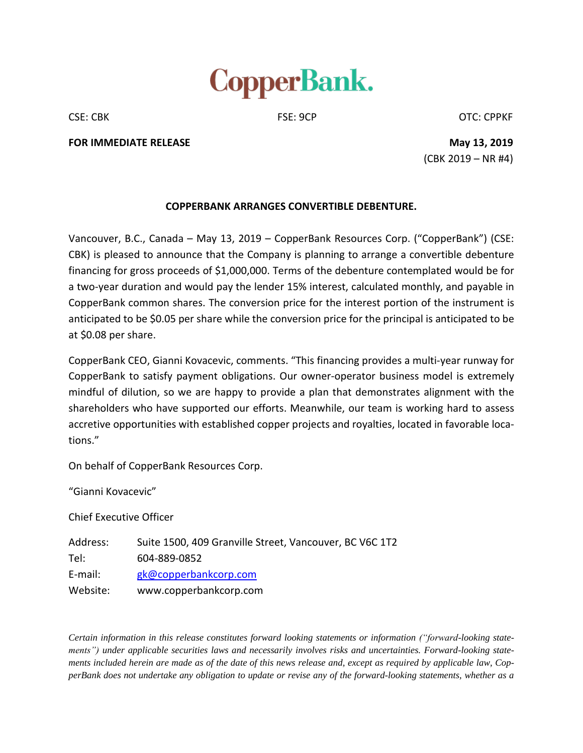

CSE: CBK CSE: 9CP CSE: 9CP CSE: CPPKF

**FOR IMMEDIATE RELEASE May 13, 2019**

(CBK 2019 – NR #4)

## **COPPERBANK ARRANGES CONVERTIBLE DEBENTURE.**

Vancouver, B.C., Canada – May 13, 2019 – CopperBank Resources Corp. ("CopperBank") (CSE: CBK) is pleased to announce that the Company is planning to arrange a convertible debenture financing for gross proceeds of \$1,000,000. Terms of the debenture contemplated would be for a two-year duration and would pay the lender 15% interest, calculated monthly, and payable in CopperBank common shares. The conversion price for the interest portion of the instrument is anticipated to be \$0.05 per share while the conversion price for the principal is anticipated to be at \$0.08 per share.

CopperBank CEO, Gianni Kovacevic, comments. "This financing provides a multi-year runway for CopperBank to satisfy payment obligations. Our owner-operator business model is extremely mindful of dilution, so we are happy to provide a plan that demonstrates alignment with the shareholders who have supported our efforts. Meanwhile, our team is working hard to assess accretive opportunities with established copper projects and royalties, located in favorable locations."

On behalf of CopperBank Resources Corp.

"Gianni Kovacevic"

Chief Executive Officer

Address: Suite 1500, 409 Granville Street, Vancouver, BC V6C 1T2 Tel: 604-889-0852 E-mail: [gk@copperbankcorp.com](mailto:gk@copperbankcorp.com) Website: www.copperbankcorp.com

*Certain information in this release constitutes forward looking statements or information ("forward-looking statements") under applicable securities laws and necessarily involves risks and uncertainties. Forward-looking state*ments included herein are made as of the date of this news release and, except as required by applicable law, CopperBank does not undertake any obligation to update or revise any of the forward-looking statements, whether as a